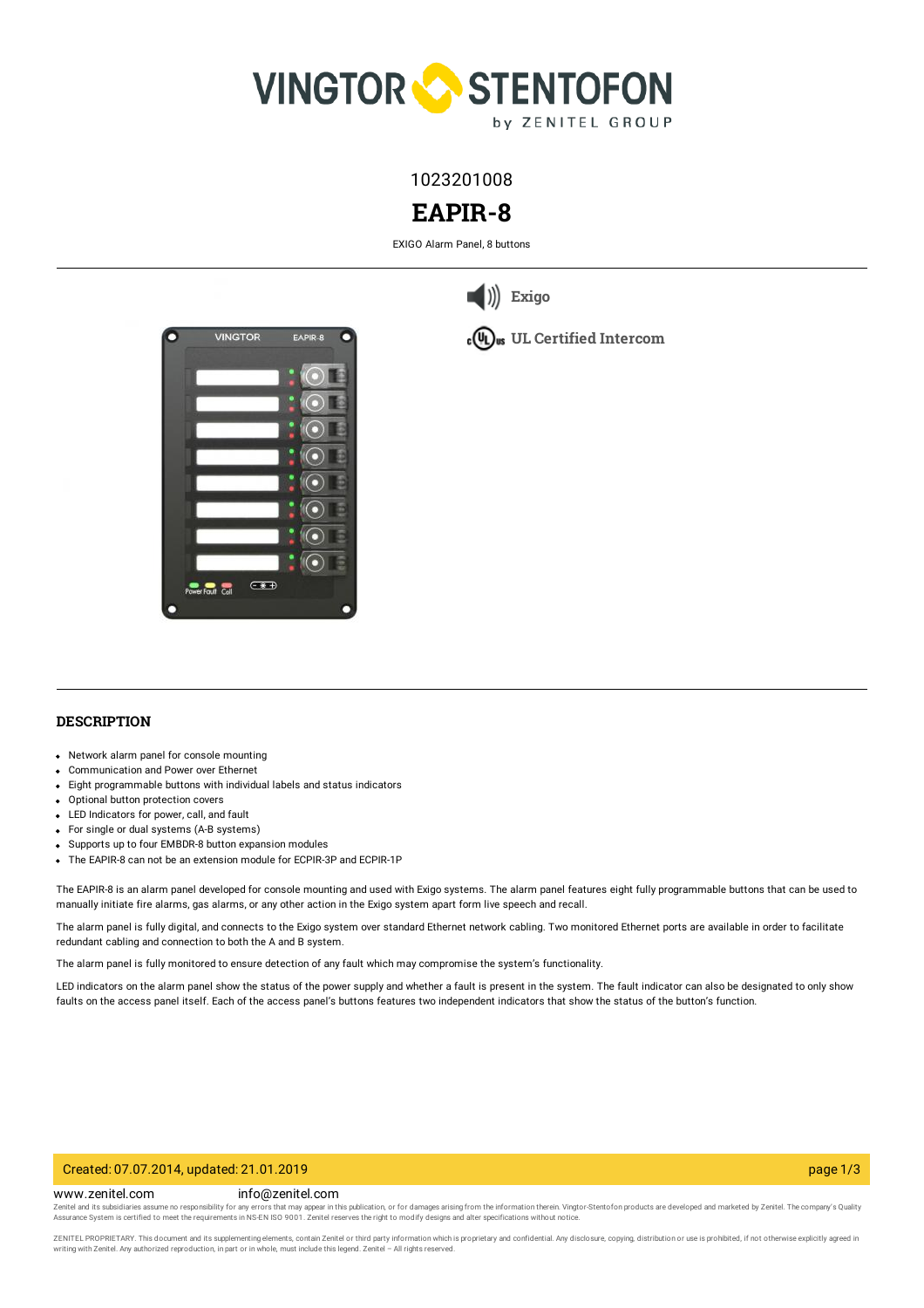

1023201008

# **EAPIR-8**

EXIGO Alarm Panel, 8 buttons



**[Exigo](https://www.zenitel.com/technology/exigo)**



# **DESCRIPTION**

- Network alarm panel for console mounting
- Communication and Power over Ethernet
- Eight programmable buttons with individual labels and status indicators
- Optional button protection covers
- LED Indicators for power, call, and fault
- For single or dual systems (A-B systems)
- Supports up to four EMBDR-8 button expansion modules
- The EAPIR-8 can not be an extension module for ECPIR-3P and ECPIR-1P

The EAPIR-8 is an alarm panel developed for console mounting and used with Exigo systems. The alarm panel features eight fully programmable buttons that can be used to manually initiate fire alarms, gas alarms, or any other action in the Exigo system apart form live speech and recall.

The alarm panel is fully digital, and connects to the Exigo system over standard Ethernet network cabling. Two monitored Ethernet ports are available in order to facilitate redundant cabling and connection to both the A and B system.

The alarm panel is fully monitored to ensure detection of any fault which may compromise the system's functionality.

LED indicators on the alarm panel show the status of the power supply and whether a fault is present in the system. The fault indicator can also be designated to only show faults on the access panel itself. Each of the access panel's buttons features two independent indicators that show the status of the button's function.

#### Created: 07.07.2014, updated: 21.01.2019 page 1/3

www.zenitel.com info@zenitel.com

Zenitel and its subsidiaries assume no responsibility for any errors that may appear in this publication, or for damages arising from the information therein. Vingtor-Stentofon products are developed and marketed by Zenite

ZENITEL PROPRIETARY. This document and its supplementing elements, contain Zenitel or third party information which is proprietary and confidential. Any disclosure, copying, distribution or use is prohibited, if not otherw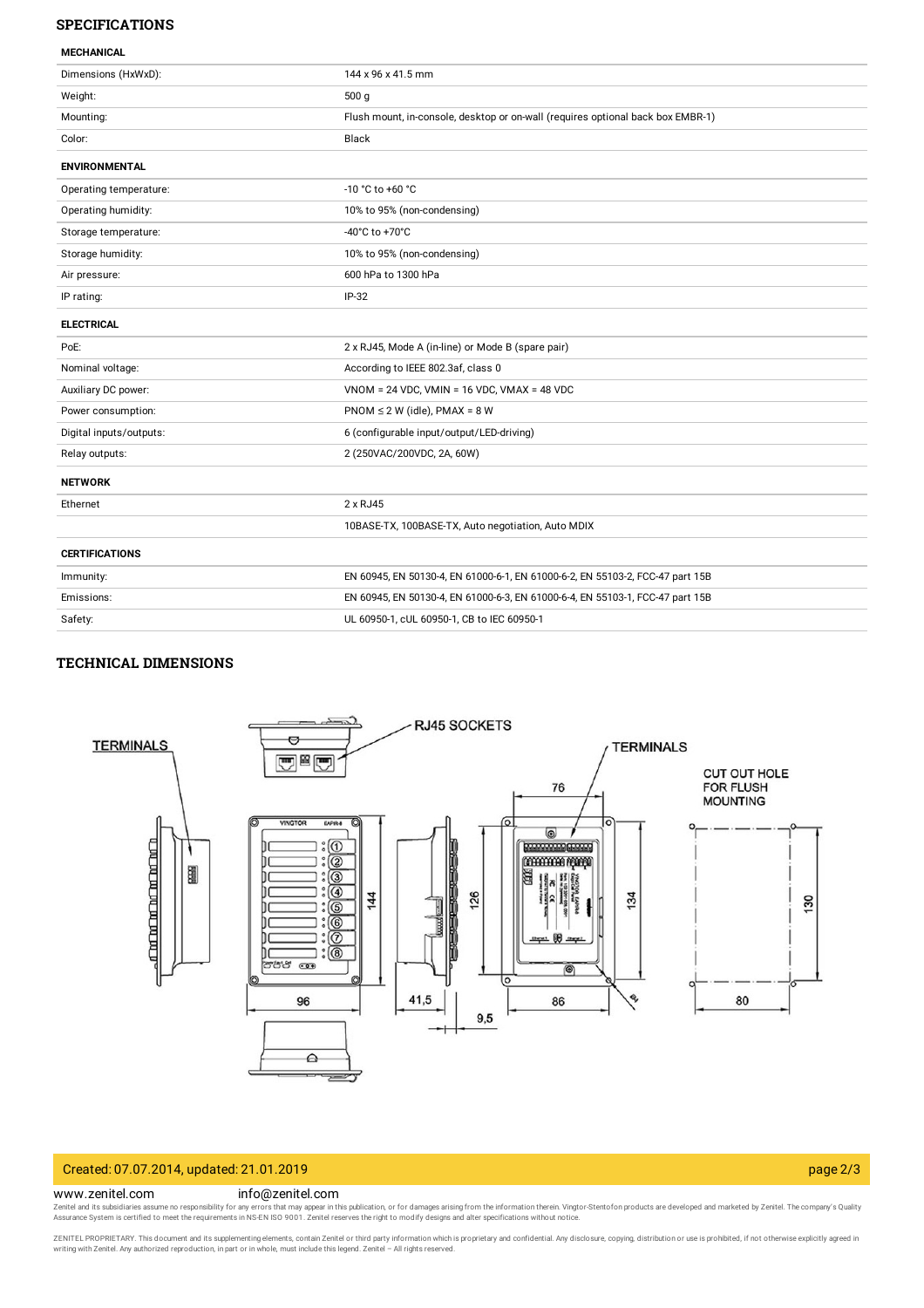#### **SPECIFICATIONS**

| <b>MECHANICAL</b>       |                                                                                 |
|-------------------------|---------------------------------------------------------------------------------|
| Dimensions (HxWxD):     | 144 x 96 x 41.5 mm                                                              |
| Weight:                 | 500q                                                                            |
| Mounting:               | Flush mount, in-console, desktop or on-wall (requires optional back box EMBR-1) |
| Color:                  | Black                                                                           |
| <b>ENVIRONMENTAL</b>    |                                                                                 |
| Operating temperature:  | -10 °C to +60 °C                                                                |
| Operating humidity:     | 10% to 95% (non-condensing)                                                     |
| Storage temperature:    | -40°C to +70°C                                                                  |
| Storage humidity:       | 10% to 95% (non-condensing)                                                     |
| Air pressure:           | 600 hPa to 1300 hPa                                                             |
| IP rating:              | $IP-32$                                                                         |
| <b>ELECTRICAL</b>       |                                                                                 |
| PoE:                    | 2 x RJ45, Mode A (in-line) or Mode B (spare pair)                               |
| Nominal voltage:        | According to IEEE 802.3af, class 0                                              |
| Auxiliary DC power:     | $VNOM = 24 VDC$ , $VMIN = 16 VDC$ , $VMAX = 48 VDC$                             |
| Power consumption:      | $PNOM \le 2 W$ (idle), $PMAX = 8 W$                                             |
| Digital inputs/outputs: | 6 (configurable input/output/LED-driving)                                       |
| Relay outputs:          | 2 (250VAC/200VDC, 2A, 60W)                                                      |
| <b>NETWORK</b>          |                                                                                 |
| Ethernet                | 2 x RJ45                                                                        |
|                         | 10BASE-TX, 100BASE-TX, Auto negotiation, Auto MDIX                              |
| <b>CERTIFICATIONS</b>   |                                                                                 |
| Immunity:               | EN 60945, EN 50130-4, EN 61000-6-1, EN 61000-6-2, EN 55103-2, FCC-47 part 15B   |
| Emissions:              | EN 60945, EN 50130-4, EN 61000-6-3, EN 61000-6-4, EN 55103-1, FCC-47 part 15B   |
| Safety:                 | UL 60950-1, cUL 60950-1, CB to IEC 60950-1                                      |
|                         |                                                                                 |

### **TECHNICAL DIMENSIONS**



# Created: 07.07.2014, updated: 21.01.2019 page 2/3

#### www.zenitel.com info@zenitel.com

Zenitel and its subsidiaries assume no responsibility for any errors that may appear in this publication, or for damages arising from the information therein. Vingtor-Stentofon products are developed and marketed by Zenite

ZENITEL PROPRIETARY. This document and its supplementing elements, contain Zenitel or third party information which is proprietary and confidential. Any disclosure, copying, distribution or use is prohibited, if not otherw